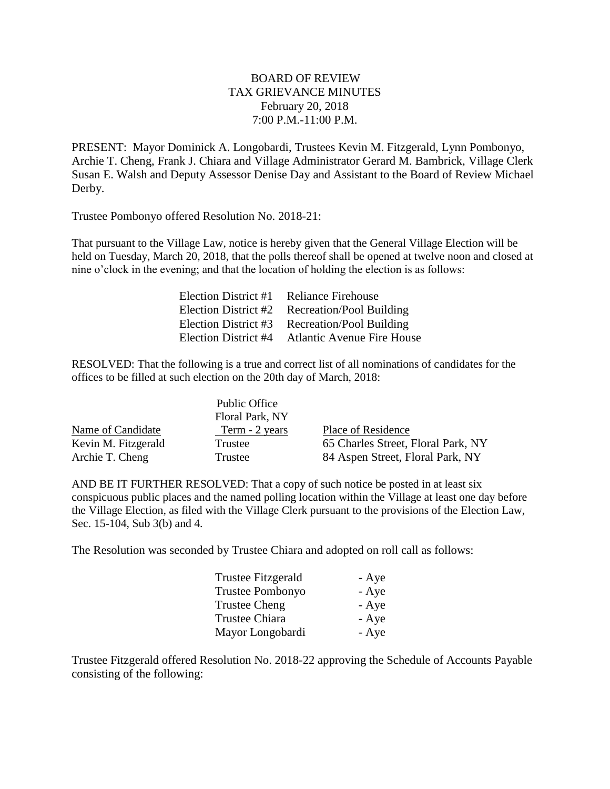## BOARD OF REVIEW TAX GRIEVANCE MINUTES February 20, 2018 7:00 P.M.-11:00 P.M.

PRESENT: Mayor Dominick A. Longobardi, Trustees Kevin M. Fitzgerald, Lynn Pombonyo, Archie T. Cheng, Frank J. Chiara and Village Administrator Gerard M. Bambrick, Village Clerk Susan E. Walsh and Deputy Assessor Denise Day and Assistant to the Board of Review Michael Derby.

Trustee Pombonyo offered Resolution No. 2018-21:

That pursuant to the Village Law, notice is hereby given that the General Village Election will be held on Tuesday, March 20, 2018, that the polls thereof shall be opened at twelve noon and closed at nine o'clock in the evening; and that the location of holding the election is as follows:

| Election District #1 | <b>Reliance Firehouse</b>         |
|----------------------|-----------------------------------|
| Election District #2 | <b>Recreation/Pool Building</b>   |
| Election District #3 | Recreation/Pool Building          |
| Election District #4 | <b>Atlantic Avenue Fire House</b> |

RESOLVED: That the following is a true and correct list of all nominations of candidates for the offices to be filled at such election on the 20th day of March, 2018:

|                     | Public Office   |                                    |
|---------------------|-----------------|------------------------------------|
|                     | Floral Park, NY |                                    |
| Name of Candidate   | Term - 2 years  | Place of Residence                 |
| Kevin M. Fitzgerald | Trustee         | 65 Charles Street, Floral Park, NY |
| Archie T. Cheng     | Trustee         | 84 Aspen Street, Floral Park, NY   |

AND BE IT FURTHER RESOLVED: That a copy of such notice be posted in at least six conspicuous public places and the named polling location within the Village at least one day before the Village Election, as filed with the Village Clerk pursuant to the provisions of the Election Law, Sec. 15-104, Sub 3(b) and 4.

The Resolution was seconded by Trustee Chiara and adopted on roll call as follows:

| <b>Trustee Fitzgerald</b> | - Aye |
|---------------------------|-------|
| <b>Trustee Pombonyo</b>   | - Aye |
| <b>Trustee Cheng</b>      | - Aye |
| <b>Trustee Chiara</b>     | - Aye |
| Mayor Longobardi          | - Aye |

Trustee Fitzgerald offered Resolution No. 2018-22 approving the Schedule of Accounts Payable consisting of the following: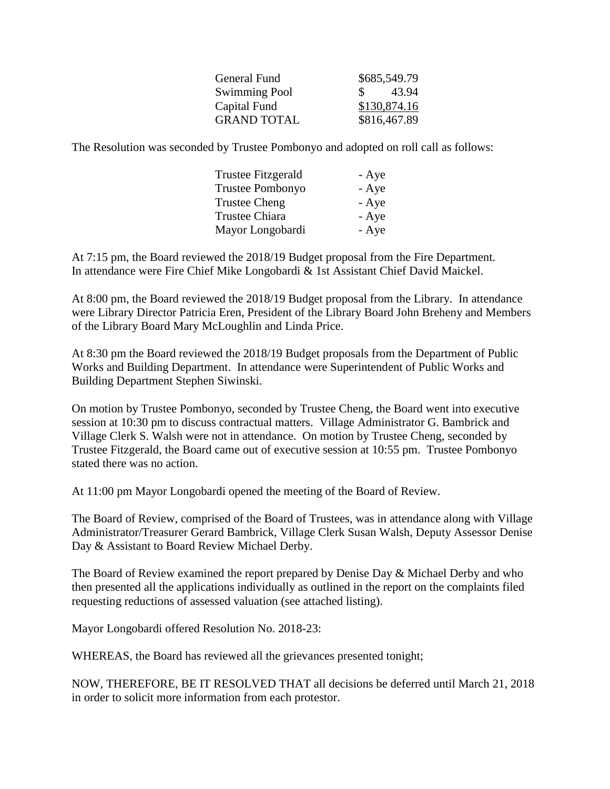|     | \$685,549.79 |
|-----|--------------|
| SS. | 43.94        |
|     | \$130,874.16 |
|     | \$816,467.89 |
|     |              |

The Resolution was seconded by Trustee Pombonyo and adopted on roll call as follows:

| Trustee Fitzgerald   | - Aye |
|----------------------|-------|
| Trustee Pombonyo     | - Aye |
| <b>Trustee Cheng</b> | - Aye |
| Trustee Chiara       | - Aye |
| Mayor Longobardi     | - Aye |

At 7:15 pm, the Board reviewed the 2018/19 Budget proposal from the Fire Department. In attendance were Fire Chief Mike Longobardi & 1st Assistant Chief David Maickel.

At 8:00 pm, the Board reviewed the 2018/19 Budget proposal from the Library. In attendance were Library Director Patricia Eren, President of the Library Board John Breheny and Members of the Library Board Mary McLoughlin and Linda Price.

At 8:30 pm the Board reviewed the 2018/19 Budget proposals from the Department of Public Works and Building Department. In attendance were Superintendent of Public Works and Building Department Stephen Siwinski.

On motion by Trustee Pombonyo, seconded by Trustee Cheng, the Board went into executive session at 10:30 pm to discuss contractual matters. Village Administrator G. Bambrick and Village Clerk S. Walsh were not in attendance. On motion by Trustee Cheng, seconded by Trustee Fitzgerald, the Board came out of executive session at 10:55 pm. Trustee Pombonyo stated there was no action.

At 11:00 pm Mayor Longobardi opened the meeting of the Board of Review.

The Board of Review, comprised of the Board of Trustees, was in attendance along with Village Administrator/Treasurer Gerard Bambrick, Village Clerk Susan Walsh, Deputy Assessor Denise Day & Assistant to Board Review Michael Derby.

The Board of Review examined the report prepared by Denise Day & Michael Derby and who then presented all the applications individually as outlined in the report on the complaints filed requesting reductions of assessed valuation (see attached listing).

Mayor Longobardi offered Resolution No. 2018-23:

WHEREAS, the Board has reviewed all the grievances presented tonight;

NOW, THEREFORE, BE IT RESOLVED THAT all decisions be deferred until March 21, 2018 in order to solicit more information from each protestor.